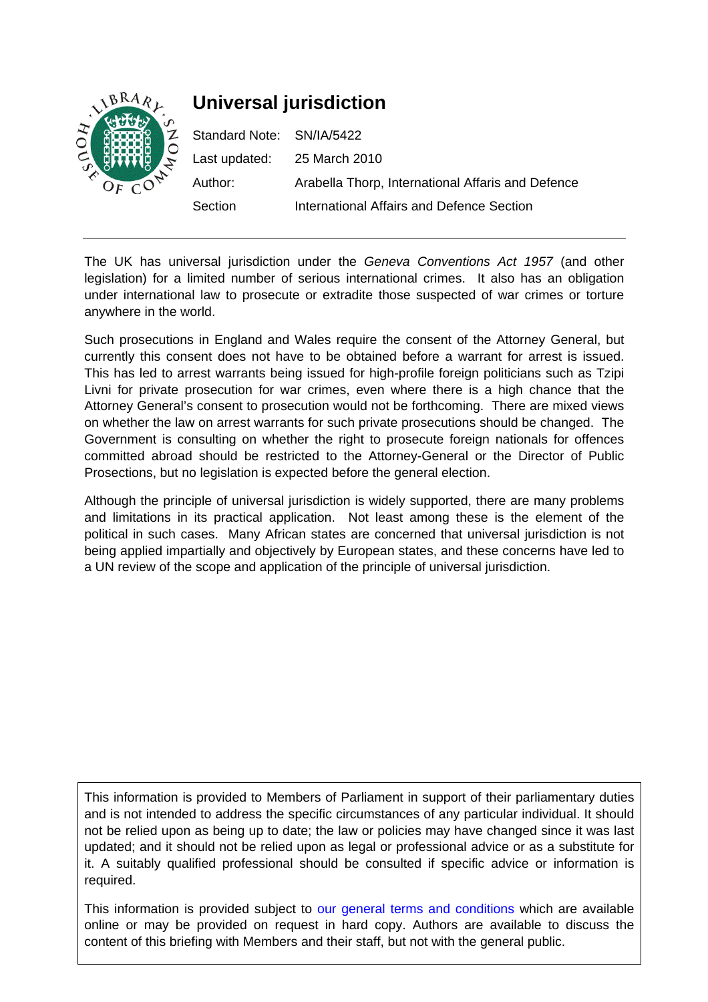

# **Universal jurisdiction**

| Standard Note: SN/IA/5422 |                                                   |
|---------------------------|---------------------------------------------------|
|                           | Last updated: 25 March 2010                       |
| Author:                   | Arabella Thorp, International Affaris and Defence |
| Section                   | International Affairs and Defence Section         |

The UK has universal jurisdiction under the *Geneva Conventions Act 1957* (and other legislation) for a limited number of serious international crimes. It also has an obligation under international law to prosecute or extradite those suspected of war crimes or torture anywhere in the world.

Such prosecutions in England and Wales require the consent of the Attorney General, but currently this consent does not have to be obtained before a warrant for arrest is issued. This has led to arrest warrants being issued for high-profile foreign politicians such as Tzipi Livni for private prosecution for war crimes, even where there is a high chance that the Attorney General's consent to prosecution would not be forthcoming. There are mixed views on whether the law on arrest warrants for such private prosecutions should be changed. The Government is consulting on whether the right to prosecute foreign nationals for offences committed abroad should be restricted to the Attorney-General or the Director of Public Prosections, but no legislation is expected before the general election.

Although the principle of universal jurisdiction is widely supported, there are many problems and limitations in its practical application. Not least among these is the element of the political in such cases. Many African states are concerned that universal jurisdiction is not being applied impartially and objectively by European states, and these concerns have led to a UN review of the scope and application of the principle of universal jurisdiction.

This information is provided to Members of Parliament in support of their parliamentary duties and is not intended to address the specific circumstances of any particular individual. It should not be relied upon as being up to date; the law or policies may have changed since it was last updated; and it should not be relied upon as legal or professional advice or as a substitute for it. A suitably qualified professional should be consulted if specific advice or information is required.

This information is provided subject to [our general terms and conditions](http://www.parliament.uk/site_information/parliamentary_copyright.cfm) which are available online or may be provided on request in hard copy. Authors are available to discuss the content of this briefing with Members and their staff, but not with the general public.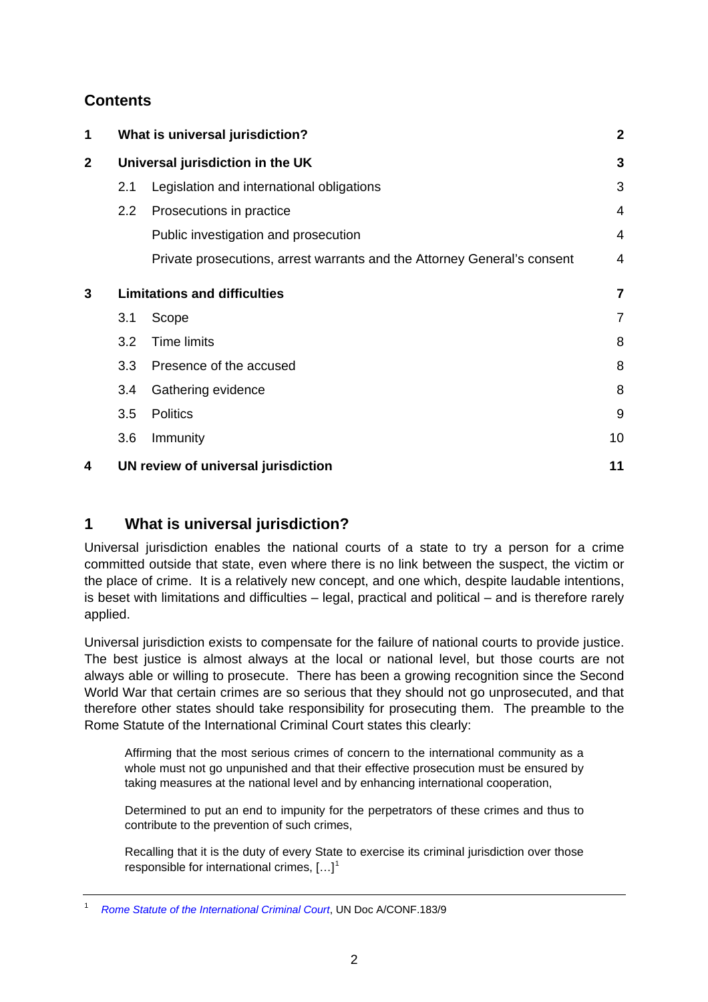# <span id="page-1-0"></span>**Contents**

| 1           |                                     | What is universal jurisdiction?                                          | $\mathbf{2}$   |
|-------------|-------------------------------------|--------------------------------------------------------------------------|----------------|
| $\mathbf 2$ | Universal jurisdiction in the UK    |                                                                          | 3              |
|             | 2.1                                 | Legislation and international obligations                                | 3              |
|             | $2.2\phantom{0}$                    | Prosecutions in practice                                                 | $\overline{4}$ |
|             |                                     | Public investigation and prosecution                                     | 4              |
|             |                                     | Private prosecutions, arrest warrants and the Attorney General's consent | 4              |
| 3           |                                     | <b>Limitations and difficulties</b>                                      |                |
|             | 3.1                                 | Scope                                                                    | 7              |
|             | 3.2                                 | <b>Time limits</b>                                                       | 8              |
|             | 3.3                                 | Presence of the accused                                                  | 8              |
|             | $3.4^{\circ}$                       | Gathering evidence                                                       | 8              |
|             | 3.5                                 | <b>Politics</b>                                                          | 9              |
|             | 3.6                                 | Immunity                                                                 | 10             |
| 4           | UN review of universal jurisdiction |                                                                          | 11             |

## **1 What is universal jurisdiction?**

Universal jurisdiction enables the national courts of a state to try a person for a crime committed outside that state, even where there is no link between the suspect, the victim or the place of crime. It is a relatively new concept, and one which, despite laudable intentions, is beset with limitations and difficulties – legal, practical and political – and is therefore rarely applied.

Universal jurisdiction exists to compensate for the failure of national courts to provide justice. The best justice is almost always at the local or national level, but those courts are not always able or willing to prosecute. There has been a growing recognition since the Second World War that certain crimes are so serious that they should not go unprosecuted, and that therefore other states should take responsibility for prosecuting them. The preamble to the Rome Statute of the International Criminal Court states this clearly:

Affirming that the most serious crimes of concern to the international community as a whole must not go unpunished and that their effective prosecution must be ensured by taking measures at the national level and by enhancing international cooperation,

Determined to put an end to impunity for the perpetrators of these crimes and thus to contribute to the prevention of such crimes,

Recalling that it is the duty of every State to exercise its criminal jurisdiction over those responsible for international crimes,  $[...]^1$  $[...]^1$ 

<span id="page-1-1"></span><sup>1</sup> *[Rome Statute of the International Criminal Court](http://untreaty.un.org/cod/icc/statute/romefra.htm)*, UN Doc A/CONF.183/9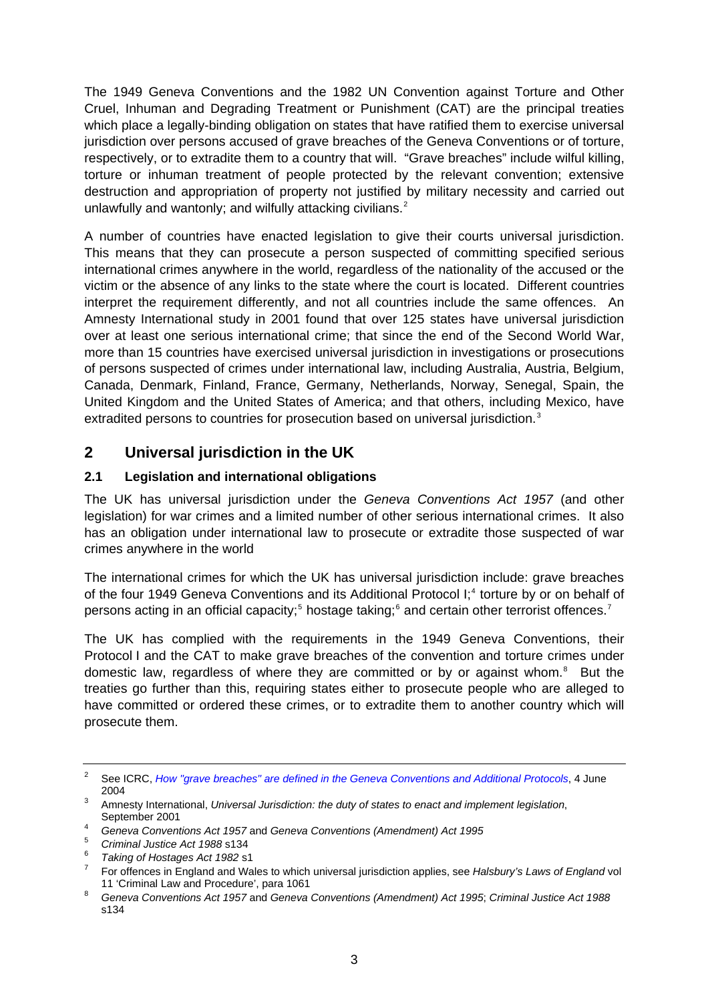<span id="page-2-0"></span>The 1949 Geneva Conventions and the 1982 UN Convention against Torture and Other Cruel, Inhuman and Degrading Treatment or Punishment (CAT) are the principal treaties which place a legally-binding obligation on states that have ratified them to exercise universal jurisdiction over persons accused of grave breaches of the Geneva Conventions or of torture, respectively, or to extradite them to a country that will. "Grave breaches" include wilful killing, torture or inhuman treatment of people protected by the relevant convention; extensive destruction and appropriation of property not justified by military necessity and carried out unlawfully and wantonly; and wilfully attacking civilians.<sup>[2](#page-2-1)</sup>

A number of countries have enacted legislation to give their courts universal jurisdiction. This means that they can prosecute a person suspected of committing specified serious international crimes anywhere in the world, regardless of the nationality of the accused or the victim or the absence of any links to the state where the court is located. Different countries interpret the requirement differently, and not all countries include the same offences. An Amnesty International study in 2001 found that over 125 states have universal jurisdiction over at least one serious international crime; that since the end of the Second World War, more than 15 countries have exercised universal jurisdiction in investigations or prosecutions of persons suspected of crimes under international law, including Australia, Austria, Belgium, Canada, Denmark, Finland, France, Germany, Netherlands, Norway, Senegal, Spain, the United Kingdom and the United States of America; and that others, including Mexico, have extradited persons to countries for prosecution based on universal jurisdiction.<sup>[3](#page-2-2)</sup>

# **2 Universal jurisdiction in the UK**

### **2.1 Legislation and international obligations**

The UK has universal jurisdiction under the *Geneva Conventions Act 1957* (and other legislation) for war crimes and a limited number of other serious international crimes. It also has an obligation under international law to prosecute or extradite those suspected of war crimes anywhere in the world

The international crimes for which the UK has universal jurisdiction include: grave breaches of the four 19[4](#page-2-3)9 Geneva Conventions and its Additional Protocol I;<sup>4</sup> torture by or on behalf of persons acting in an official capacity;<sup>[5](#page-2-4)</sup> hostage taking;<sup>[6](#page-2-5)</sup> and certain other terrorist offences.<sup>[7](#page-2-6)</sup>

The UK has complied with the requirements in the 1949 Geneva Conventions, their Protocol I and the CAT to make grave breaches of the convention and torture crimes under domestic law, regardless of where they are committed or by or against whom.<sup>[8](#page-2-7)</sup> But the treaties go further than this, requiring states either to prosecute people who are alleged to have committed or ordered these crimes, or to extradite them to another country which will prosecute them.

<span id="page-2-1"></span><sup>2</sup> See ICRC, *[How "grave breaches" are defined in the Geneva Conventions and Additional Protocols](http://www.icrc.org/Web/Eng/siteeng0.nsf/html/5ZMGF9)*, 4 June  $^{2004}$ 

<span id="page-2-2"></span>Amnesty International, *Universal Jurisdiction: the duty of states to enact and implement legislation*, September 2001

*Geneva Conventions Act 1957* and *Geneva Conventions (Amendment) Act 1995* 

<span id="page-2-4"></span><span id="page-2-3"></span><sup>5</sup> <sup>5</sup> Criminal Justice Act 1988 s134

<span id="page-2-5"></span><sup>&</sup>lt;sup>6</sup> Taking of Hostages Act 1982 s1

<span id="page-2-6"></span>For offences in England and Wales to which universal jurisdiction applies, see *Halsbury's Laws of England* vol 11 'Criminal Law and Procedure', para 1061

<span id="page-2-7"></span>*Geneva Conventions Act 1957* and *Geneva Conventions (Amendment) Act 1995*; *Criminal Justice Act 1988* s134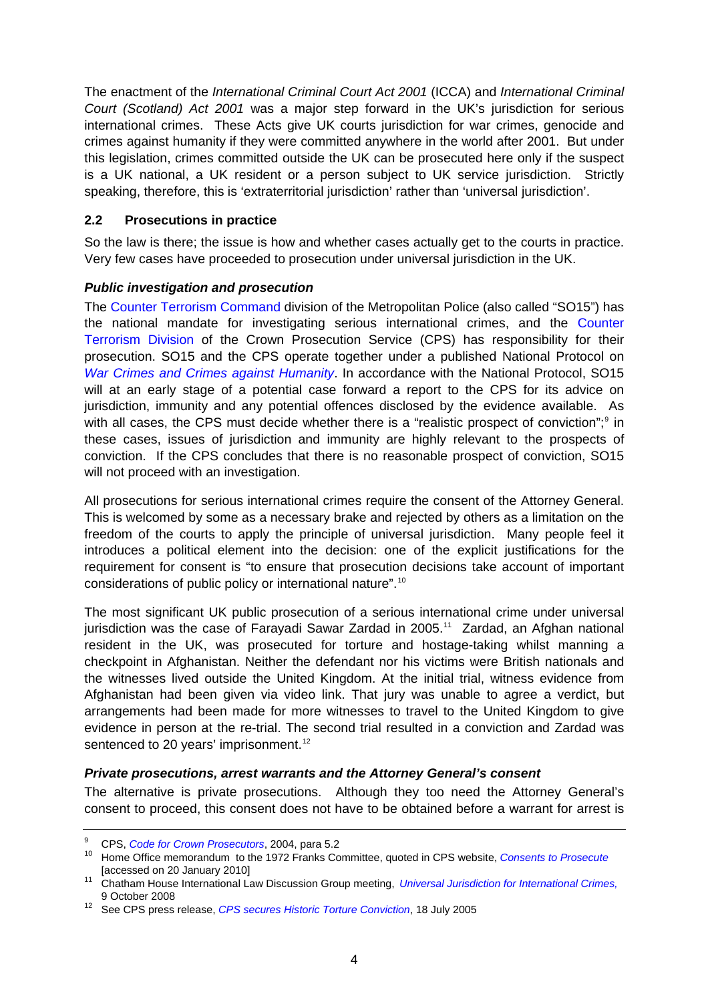<span id="page-3-0"></span>The enactment of the *International Criminal Court Act 2001* (ICCA) and *International Criminal Court (Scotland) Act 2001* was a major step forward in the UK's jurisdiction for serious international crimes. These Acts give UK courts jurisdiction for war crimes, genocide and crimes against humanity if they were committed anywhere in the world after 2001. But under this legislation, crimes committed outside the UK can be prosecuted here only if the suspect is a UK national, a UK resident or a person subject to UK service jurisdiction. Strictly speaking, therefore, this is 'extraterritorial jurisdiction' rather than 'universal jurisdiction'.

### **2.2 Prosecutions in practice**

So the law is there; the issue is how and whether cases actually get to the courts in practice. Very few cases have proceeded to prosecution under universal jurisdiction in the UK.

### *Public investigation and prosecution*

The [Counter Terrorism Command](http://www.met.police.uk/so/counter_terrorism.htm) division of the Metropolitan Police (also called "SO15") has the national mandate for investigating serious international crimes, and the [Counter](http://www.cps.gov.uk/your_cps/our_organisation/ctd.html)  [Terrorism Division](http://www.cps.gov.uk/your_cps/our_organisation/ctd.html) of the Crown Prosecution Service (CPS) has responsibility for their prosecution. SO15 and the CPS operate together under a published National Protocol on *[War Crimes and Crimes against Humanity](http://www.cps.gov.uk/publications/agencies/war_crimes.html)*. In accordance with the National Protocol, SO15 will at an early stage of a potential case forward a report to the CPS for its advice on jurisdiction, immunity and any potential offences disclosed by the evidence available. As with all cases, the CPS must decide whether there is a "realistic prospect of conviction";<sup>[9](#page-3-1)</sup> in these cases, issues of jurisdiction and immunity are highly relevant to the prospects of conviction. If the CPS concludes that there is no reasonable prospect of conviction, SO15 will not proceed with an investigation.

All prosecutions for serious international crimes require the consent of the Attorney General. This is welcomed by some as a necessary brake and rejected by others as a limitation on the freedom of the courts to apply the principle of universal jurisdiction. Many people feel it introduces a political element into the decision: one of the explicit justifications for the requirement for consent is "to ensure that prosecution decisions take account of important considerations of public policy or international nature".[10](#page-3-2)

The most significant UK public prosecution of a serious international crime under universal jurisdiction was the case of Farayadi Sawar Zardad in 2005.<sup>[11](#page-3-3)</sup> Zardad, an Afghan national resident in the UK, was prosecuted for torture and hostage-taking whilst manning a checkpoint in Afghanistan. Neither the defendant nor his victims were British nationals and the witnesses lived outside the United Kingdom. At the initial trial, witness evidence from Afghanistan had been given via video link. That jury was unable to agree a verdict, but arrangements had been made for more witnesses to travel to the United Kingdom to give evidence in person at the re-trial. The second trial resulted in a conviction and Zardad was sentenced to 20 years' imprisonment.<sup>[12](#page-3-4)</sup>

#### *Private prosecutions, arrest warrants and the Attorney General's consent*

The alternative is private prosecutions. Although they too need the Attorney General's consent to proceed, this consent does not have to be obtained before a warrant for arrest is

<span id="page-3-1"></span> $\alpha$ 

<sup>&</sup>lt;sup>9</sup> CPS, *Code for Crown Prosecutors*, 2004, para 5.2<br><sup>10</sup> Home Office memorandum to the 1972 Franks Committee, quoted in CPS website, *Consents to Prosecute* 

<span id="page-3-3"></span><span id="page-3-2"></span><sup>[</sup>accessed on 20 January 2010] 11 Chatham House International Law Discussion Group meeting, *[Universal Jurisdiction for International Crimes,](http://www.chathamhouse.org.uk/files/12483_il091008.pdf)*

<span id="page-3-4"></span><sup>&</sup>lt;sup>12</sup> See CPS press release, *[CPS secures Historic Torture Conviction](http://cps.gov.uk/news/press_releases/135_05/)*, 18 July 2005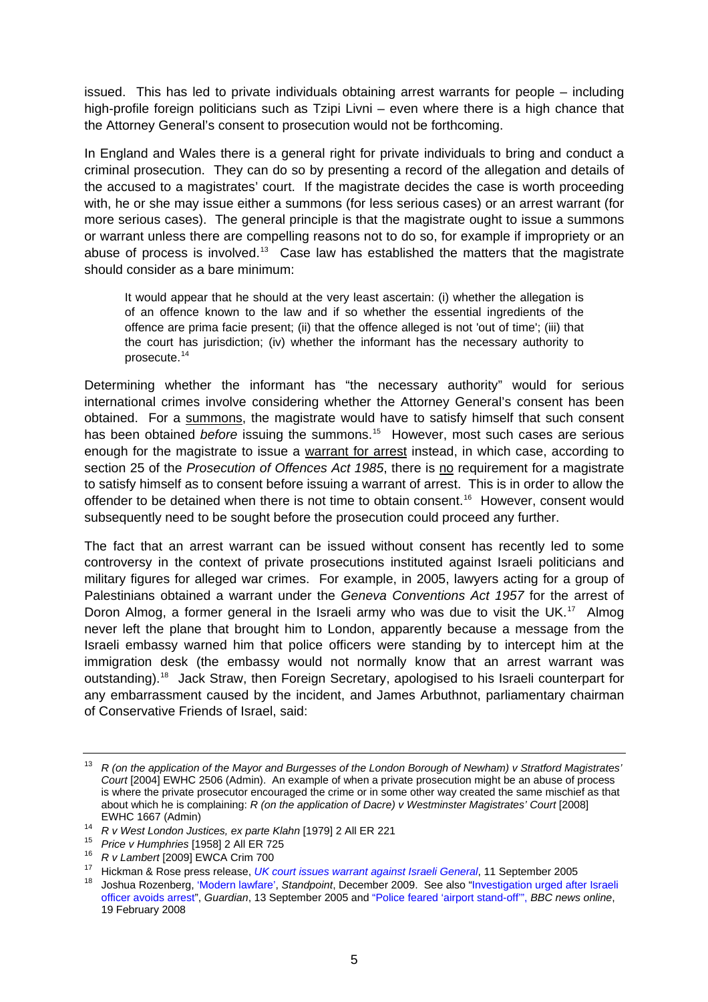issued. This has led to private individuals obtaining arrest warrants for people – including high-profile foreign politicians such as Tzipi Livni – even where there is a high chance that the Attorney General's consent to prosecution would not be forthcoming.

In England and Wales there is a general right for private individuals to bring and conduct a criminal prosecution. They can do so by presenting a record of the allegation and details of the accused to a magistrates' court. If the magistrate decides the case is worth proceeding with, he or she may issue either a summons (for less serious cases) or an arrest warrant (for more serious cases). The general principle is that the magistrate ought to issue a summons or warrant unless there are compelling reasons not to do so, for example if impropriety or an abuse of process is involved.<sup>[13](#page-4-0)</sup> Case law has established the matters that the magistrate should consider as a bare minimum:

It would appear that he should at the very least ascertain: (i) whether the allegation is of an offence known to the law and if so whether the essential ingredients of the offence are prima facie present; (ii) that the offence alleged is not 'out of time'; (iii) that the court has jurisdiction; (iv) whether the informant has the necessary authority to prosecute.[14](#page-4-1)

Determining whether the informant has "the necessary authority" would for serious international crimes involve considering whether the Attorney General's consent has been obtained. For a summons, the magistrate would have to satisfy himself that such consent has been obtained *before* issuing the summons.<sup>[15](#page-4-2)</sup> However, most such cases are serious enough for the magistrate to issue a warrant for arrest instead, in which case, according to section 25 of the *Prosecution of Offences Act 1985*, there is no requirement for a magistrate to satisfy himself as to consent before issuing a warrant of arrest. This is in order to allow the offender to be detained when there is not time to obtain consent.<sup>[16](#page-4-3)</sup> However, consent would subsequently need to be sought before the prosecution could proceed any further.

The fact that an arrest warrant can be issued without consent has recently led to some controversy in the context of private prosecutions instituted against Israeli politicians and military figures for alleged war crimes. For example, in 2005, lawyers acting for a group of Palestinians obtained a warrant under the *Geneva Conventions Act 1957* for the arrest of Doron Almog, a former general in the Israeli army who was due to visit the UK.<sup>[17](#page-4-4)</sup> Almog never left the plane that brought him to London, apparently because a message from the Israeli embassy warned him that police officers were standing by to intercept him at the immigration desk (the embassy would not normally know that an arrest warrant was outstanding).<sup>[18](#page-4-5)</sup> Jack Straw, then Foreign Secretary, apologised to his Israeli counterpart for any embarrassment caused by the incident, and James Arbuthnot, parliamentary chairman of Conservative Friends of Israel, said:

<span id="page-4-0"></span><sup>&</sup>lt;sup>13</sup> R (on the application of the Mayor and Burgesses of the London Borough of Newham) v Stratford Magistrates' *Court* [2004] EWHC 2506 (Admin). An example of when a private prosecution might be an abuse of process is where the private prosecutor encouraged the crime or in some other way created the same mischief as that about which he is complaining: *R* (on the application of Dacre) v Westminster Magistrates' Court [2008]

<span id="page-4-2"></span>

<span id="page-4-3"></span>

<span id="page-4-5"></span><span id="page-4-4"></span>

<span id="page-4-1"></span>EWHC 1667 (Admin)<br>
<sup>14</sup> R v West London Justices[,](http://www.hickmanandrose.co.uk/Press-Releases/11-september-2005-uk-court-issues-warrant-against-israeli-general.html) ex parte Klahn [1979] 2 All ER 221<br>
<sup>15</sup> Price v Humphries [1958] 2 All ER 725<br>
<sup>16</sup> R v Lambert [2009] EWCA Crim 700<br>
<sup>17</sup> Hickman & Rose press release, *UK court issues w* [officer avoids arrest"](http://www.guardian.co.uk/world/2005/sep/13/israelandthepalestinians.warcrimes), *Guardian*, 13 September 2005 and ["Police feared 'airport stand-off'",](http://news.bbc.co.uk/1/hi/uk/7251954.stm) *BBC news online*, 19 February 2008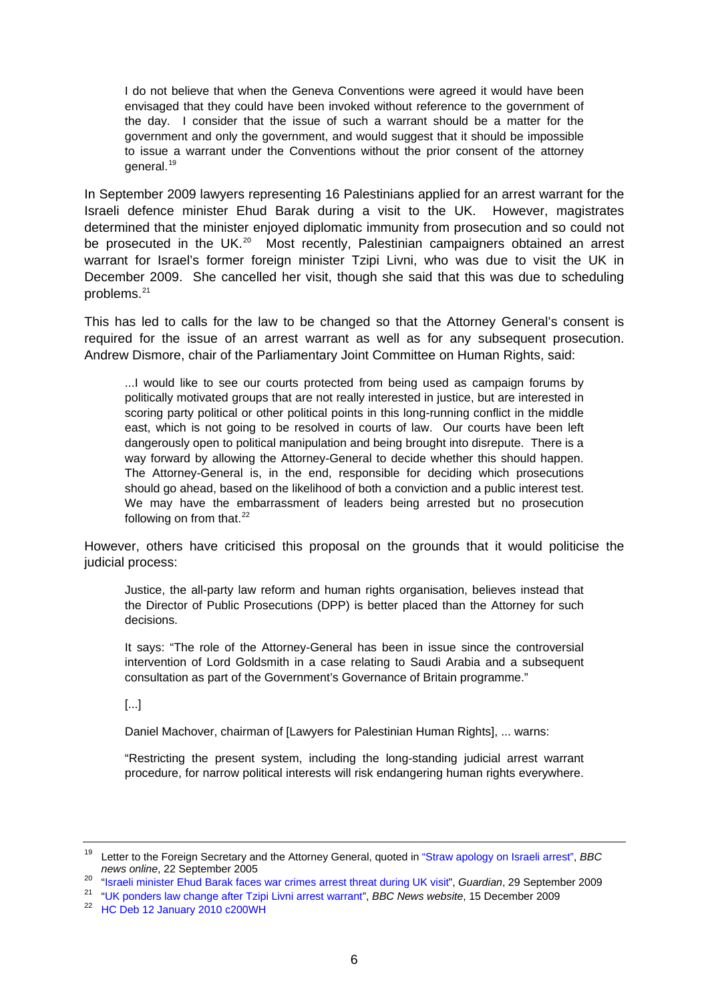I do not believe that when the Geneva Conventions were agreed it would have been envisaged that they could have been invoked without reference to the government of the day. I consider that the issue of such a warrant should be a matter for the government and only the government, and would suggest that it should be impossible to issue a warrant under the Conventions without the prior consent of the attorney general.[19](#page-5-0)

In September 2009 lawyers representing 16 Palestinians applied for an arrest warrant for the Israeli defence minister Ehud Barak during a visit to the UK. However, magistrates determined that the minister enjoyed diplomatic immunity from prosecution and so could not be prosecuted in the UK.<sup>[20](#page-5-1)</sup> Most recently, Palestinian campaigners obtained an arrest warrant for Israel's former foreign minister Tzipi Livni, who was due to visit the UK in December 2009. She cancelled her visit, though she said that this was due to scheduling problems.<sup>[21](#page-5-2)</sup>

This has led to calls for the law to be changed so that the Attorney General's consent is required for the issue of an arrest warrant as well as for any subsequent prosecution. Andrew Dismore, chair of the Parliamentary Joint Committee on Human Rights, said:

...I would like to see our courts protected from being used as campaign forums by politically motivated groups that are not really interested in justice, but are interested in scoring party political or other political points in this long-running conflict in the middle east, which is not going to be resolved in courts of law. Our courts have been left dangerously open to political manipulation and being brought into disrepute. There is a way forward by allowing the Attorney-General to decide whether this should happen. The Attorney-General is, in the end, responsible for deciding which prosecutions should go ahead, based on the likelihood of both a conviction and a public interest test. We may have the embarrassment of leaders being arrested but no prosecution following on from that. $^{22}$  $^{22}$  $^{22}$ 

However, others have criticised this proposal on the grounds that it would politicise the judicial process:

Justice, the all-party law reform and human rights organisation, believes instead that the Director of Public Prosecutions (DPP) is better placed than the Attorney for such decisions.

It says: "The role of the Attorney-General has been in issue since the controversial intervention of Lord Goldsmith in a case relating to Saudi Arabia and a subsequent consultation as part of the Government's Governance of Britain programme."

[...]

Daniel Machover, chairman of [Lawyers for Palestinian Human Rights], ... warns:

"Restricting the present system, including the long-standing judicial arrest warrant procedure, for narrow political interests will risk endangering human rights everywhere.

<span id="page-5-0"></span><sup>19</sup> Letter to the Foreign Secretary and the Attorney General, quoted in ["Straw apology on Israeli arrest"](http://news.bbc.co.uk/1/hi/uk_politics/4270664.stm), *BBC* 

<span id="page-5-2"></span><span id="page-5-1"></span><sup>&</sup>lt;sup>20</sup> "Israeli minister Ehud Barak faces war crimes arrest threat during UK visit", *Guardian*, 29 September 2009<br><sup>21</sup> ["UK ponders law change after Tzipi Livni arrest warrant"](http://news.bbc.co.uk/1/hi/8415161.stm), *BBC News website*, 15 December 2009<br><sup>22</sup> HC D

<span id="page-5-3"></span>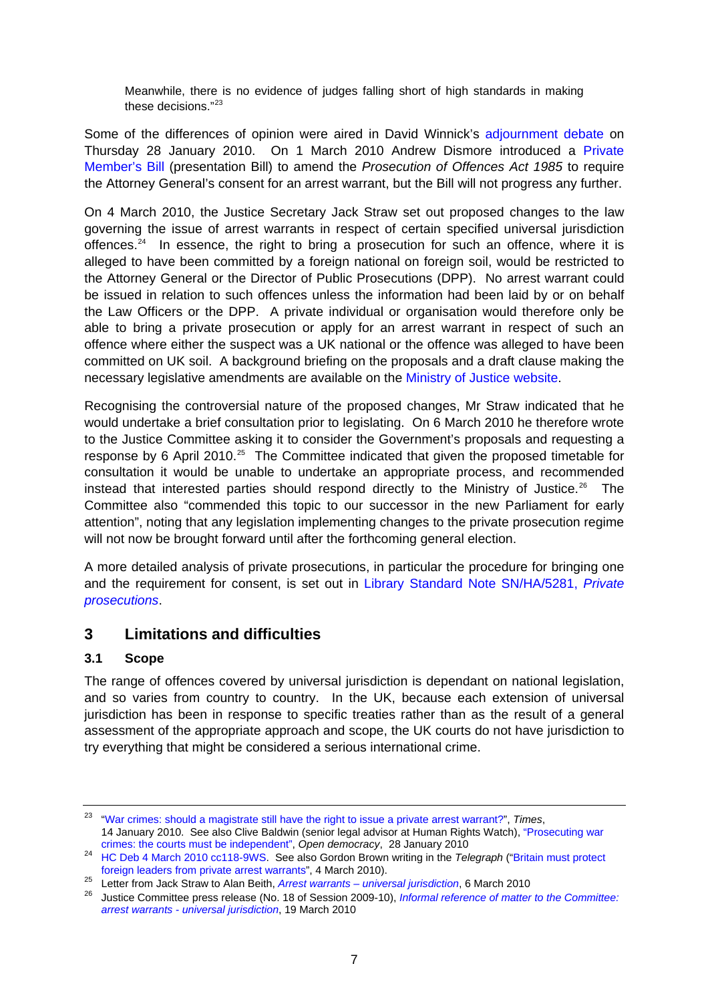<span id="page-6-0"></span>Meanwhile, there is no evidence of judges falling short of high standards in making these decisions."[23](#page-6-1)

Some of the differences of opinion were aired in David Winnick's [adjournment debate](http://www.publications.parliament.uk/pa/cm200910/cmhansrd/cm100128/debtext/100128-0014.htm#10012863000001) on Thursday 28 January 2010. On 1 March 2010 Andrew Dismore introduced a [Private](http://services.parliament.uk/bills/2009-10/prosecutionofoffencesact1985amendment.html)  [Member's Bill](http://services.parliament.uk/bills/2009-10/prosecutionofoffencesact1985amendment.html) (presentation Bill) to amend the *Prosecution of Offences Act 1985* to require the Attorney General's consent for an arrest warrant, but the Bill will not progress any further.

On 4 March 2010, the Justice Secretary Jack Straw set out proposed changes to the law governing the issue of arrest warrants in respect of certain specified universal jurisdiction offences.<sup>[24](#page-6-2)</sup> In essence, the right to bring a prosecution for such an offence, where it is alleged to have been committed by a foreign national on foreign soil, would be restricted to the Attorney General or the Director of Public Prosecutions (DPP). No arrest warrant could be issued in relation to such offences unless the information had been laid by or on behalf the Law Officers or the DPP. A private individual or organisation would therefore only be able to bring a private prosecution or apply for an arrest warrant in respect of such an offence where either the suspect was a UK national or the offence was alleged to have been committed on UK soil. A background briefing on the proposals and a draft clause making the necessary legislative amendments are available on the [Ministry of Justice website.](http://www.justice.gov.uk/latest-updates/arrest-warrants.htm)

Recognising the controversial nature of the proposed changes, Mr Straw indicated that he would undertake a brief consultation prior to legislating. On 6 March 2010 he therefore wrote to the Justice Committee asking it to consider the Government's proposals and requesting a response by 6 April 2010.<sup>[25](#page-6-3)</sup> The Committee indicated that given the proposed timetable for consultation it would be unable to undertake an appropriate process, and recommended instead that interested parties should respond directly to the Ministry of Justice.<sup>[26](#page-6-4)</sup> The Committee also "commended this topic to our successor in the new Parliament for early attention", noting that any legislation implementing changes to the private prosecution regime will not now be brought forward until after the forthcoming general election.

A more detailed analysis of private prosecutions, in particular the procedure for bringing one and the requirement for consent, is set out in [Library Standard Note SN/HA/5281,](http://pims.parliament.uk:81/PIMS/Static%20Files/Extended%20File%20Scan%20Files/LIBRARY_OTHER_PAPERS/STANDARD_NOTE/snha-05281.pdf) *Private [prosecutions](http://pims.parliament.uk:81/PIMS/Static%20Files/Extended%20File%20Scan%20Files/LIBRARY_OTHER_PAPERS/STANDARD_NOTE/snha-05281.pdf)*.

## **3 Limitations and difficulties**

### **3.1 Scope**

The range of offences covered by universal jurisdiction is dependant on national legislation, and so varies from country to country. In the UK, because each extension of universal jurisdiction has been in response to specific treaties rather than as the result of a general assessment of the appropriate approach and scope, the UK courts do not have jurisdiction to try everything that might be considered a serious international crime.

<span id="page-6-1"></span><sup>23</sup> ["War crimes: should a magistrate still have the right to issue a private arrest warrant?](http://business.timesonline.co.uk/tol/business/law/columnists/article6985729.ece)", *Times*, 14 January 2010. See also Clive Baldwin (senior legal advisor at Human Rights Watch), ["Prosecuting war](http://www.opendemocracy.net/ourkingdom/clive-baldwin/prosecuting-war-crimes-courts-must-be-independent) 

crimes: the courts must be independent", *Open democracy*, 28 January 2010 24 [HC Deb 4 March 2010 cc118-9WS.](http://www.publications.parliament.uk/pa/cm200910/cmhansrd/cm100304/wmstext/100304m0001.htm#10030438000012) See also Gordon Brown writing in the *Telegraph* (["Britain must protect](http://www.telegraph.co.uk/news/newstopics/politics/gordon-brown/7361967/Britain-must-protect-foreign-leaders-from-arrest.html) 

<span id="page-6-4"></span>

<span id="page-6-3"></span><span id="page-6-2"></span>[foreign leaders from private arrest warrants](http://www.telegraph.co.uk/news/newstopics/politics/gordon-brown/7361967/Britain-must-protect-foreign-leaders-from-arrest.html)"[,](http://www.parliament.uk/documents/upload/Arrest_Warrant_Universal__Jurisdiction.pdf) 4 March 2010).<br><sup>25</sup> Letter from Jack Straw to Alan Beith, *Arrest warrants – universal jurisdiction*, 6 March 2010<br><sup>26</sup> Justice Committee press release (No. 18 of Session 2009 *[arrest warrants - universal jurisdiction](http://www.parliament.uk/parliamentary_committees/justice/jsc100310pn17.cfm)*, 19 March 2010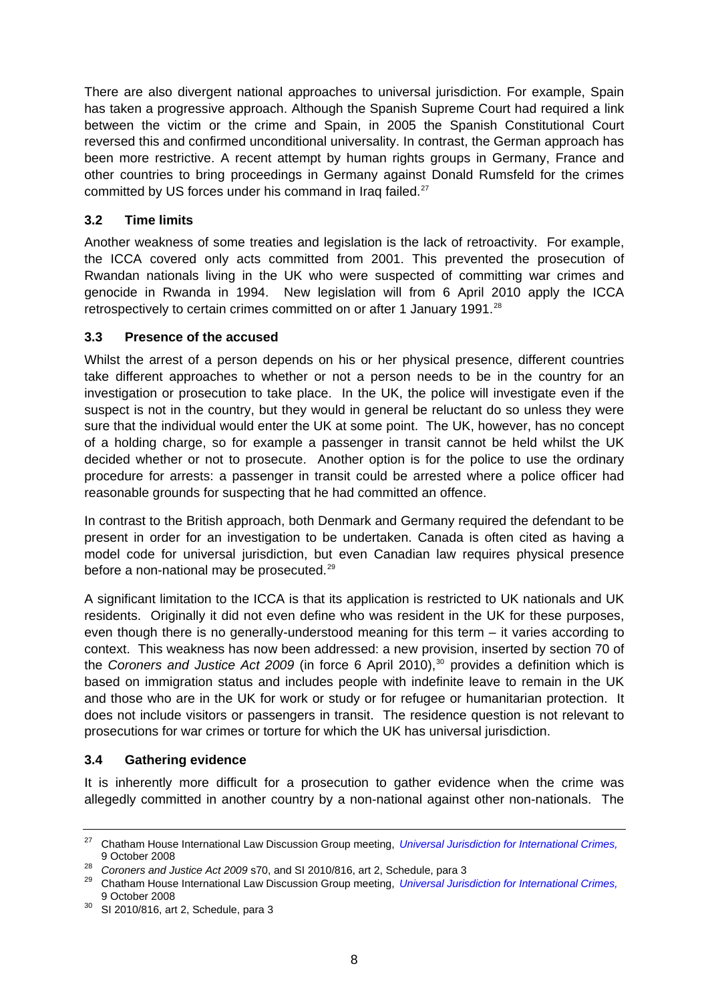<span id="page-7-0"></span>There are also divergent national approaches to universal jurisdiction. For example, Spain has taken a progressive approach. Although the Spanish Supreme Court had required a link between the victim or the crime and Spain, in 2005 the Spanish Constitutional Court reversed this and confirmed unconditional universality. In contrast, the German approach has been more restrictive. A recent attempt by human rights groups in Germany, France and other countries to bring proceedings in Germany against Donald Rumsfeld for the crimes committed by US forces under his command in Iraq failed.<sup>[27](#page-7-1)</sup>

### **3.2 Time limits**

Another weakness of some treaties and legislation is the lack of retroactivity. For example, the ICCA covered only acts committed from 2001. This prevented the prosecution of Rwandan nationals living in the UK who were suspected of committing war crimes and genocide in Rwanda in 1994. New legislation will from 6 April 2010 apply the ICCA retrospectively to certain crimes committed on or after 1 January 1991.<sup>[28](#page-7-2)</sup>

### **3.3 Presence of the accused**

Whilst the arrest of a person depends on his or her physical presence, different countries take different approaches to whether or not a person needs to be in the country for an investigation or prosecution to take place. In the UK, the police will investigate even if the suspect is not in the country, but they would in general be reluctant do so unless they were sure that the individual would enter the UK at some point. The UK, however, has no concept of a holding charge, so for example a passenger in transit cannot be held whilst the UK decided whether or not to prosecute. Another option is for the police to use the ordinary procedure for arrests: a passenger in transit could be arrested where a police officer had reasonable grounds for suspecting that he had committed an offence.

In contrast to the British approach, both Denmark and Germany required the defendant to be present in order for an investigation to be undertaken. Canada is often cited as having a model code for universal jurisdiction, but even Canadian law requires physical presence before a non-national may be prosecuted.<sup>[29](#page-7-3)</sup>

A significant limitation to the ICCA is that its application is restricted to UK nationals and UK residents. Originally it did not even define who was resident in the UK for these purposes, even though there is no generally-understood meaning for this term – it varies according to context. This weakness has now been addressed: a new provision, inserted by section 70 of the *Coroners and Justice Act 2009* (in force 6 April 2010),<sup>[30](#page-7-4)</sup> provides a definition which is based on immigration status and includes people with indefinite leave to remain in the UK and those who are in the UK for work or study or for refugee or humanitarian protection. It does not include visitors or passengers in transit. The residence question is not relevant to prosecutions for war crimes or torture for which the UK has universal jurisdiction.

### **3.4 Gathering evidence**

It is inherently more difficult for a prosecution to gather evidence when the crime was allegedly committed in another country by a non-national against other non-nationals. The

<span id="page-7-1"></span><sup>27</sup> Chatham House International Law Discussion Group meeting, *[Universal Jurisdiction for International Crimes,](http://www.chathamhouse.org.uk/files/12483_il091008.pdf)* 9 October 2008

<span id="page-7-3"></span><span id="page-7-2"></span><sup>&</sup>lt;sup>28</sup> Coroners and Justice Act 2009 s70, and [SI 2010/816, art 2](https://www.lexisnexis.com/uk/legal/search/runRemoteLink.do?langcountry=GB&linkInfo=F%23GB%23UK_SI%23section%252%25sect%252%25num%252010_816s%25&risb=21_T8905787794&bct=A&service=citation&A=0.5483906411071583), Schedule, para 3<br><sup>29</sup> Chatham House International Law Discussion Group meeting, *[Universal Jurisdiction for International Crimes,](http://www.chathamhouse.org.uk/files/12483_il091008.pdf)*<br>9 October 2008

<span id="page-7-4"></span> $30$  [SI 2010/816, art 2,](https://www.lexisnexis.com/uk/legal/search/runRemoteLink.do?langcountry=GB&linkInfo=F%23GB%23UK_SI%23section%252%25sect%252%25num%252010_816s%25&risb=21_T8905787794&bct=A&service=citation&A=0.5483906411071583) Schedule, para 3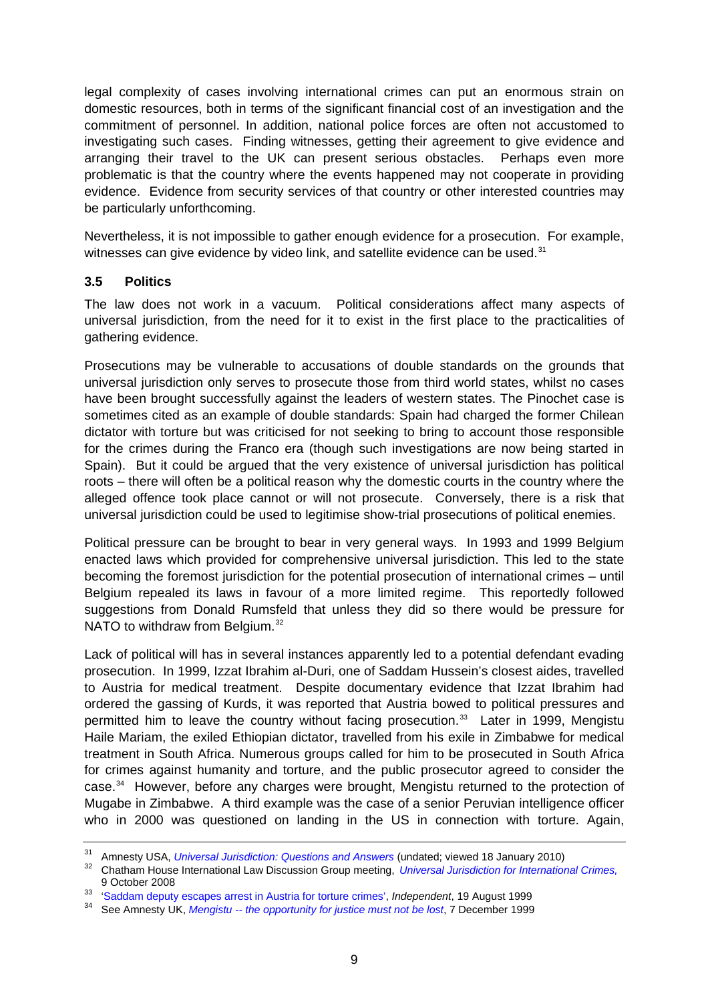<span id="page-8-0"></span>legal complexity of cases involving international crimes can put an enormous strain on domestic resources, both in terms of the significant financial cost of an investigation and the commitment of personnel. In addition, national police forces are often not accustomed to investigating such cases. Finding witnesses, getting their agreement to give evidence and arranging their travel to the UK can present serious obstacles. Perhaps even more problematic is that the country where the events happened may not cooperate in providing evidence. Evidence from security services of that country or other interested countries may be particularly unforthcoming.

Nevertheless, it is not impossible to gather enough evidence for a prosecution. For example, witnesses can give evidence by video link, and satellite evidence can be used.<sup>[31](#page-8-1)</sup>

### **3.5 Politics**

The law does not work in a vacuum. Political considerations affect many aspects of universal jurisdiction, from the need for it to exist in the first place to the practicalities of gathering evidence.

Prosecutions may be vulnerable to accusations of double standards on the grounds that universal jurisdiction only serves to prosecute those from third world states, whilst no cases have been brought successfully against the leaders of western states. The Pinochet case is sometimes cited as an example of double standards: Spain had charged the former Chilean dictator with torture but was criticised for not seeking to bring to account those responsible for the crimes during the Franco era (though such investigations are now being started in Spain). But it could be argued that the very existence of universal jurisdiction has political roots – there will often be a political reason why the domestic courts in the country where the alleged offence took place cannot or will not prosecute. Conversely, there is a risk that universal jurisdiction could be used to legitimise show-trial prosecutions of political enemies.

Political pressure can be brought to bear in very general ways. In 1993 and 1999 Belgium enacted laws which provided for comprehensive universal jurisdiction. This led to the state becoming the foremost jurisdiction for the potential prosecution of international crimes – until Belgium repealed its laws in favour of a more limited regime. This reportedly followed suggestions from Donald Rumsfeld that unless they did so there would be pressure for NATO to withdraw from Belgium.<sup>[32](#page-8-2)</sup>

Lack of political will has in several instances apparently led to a potential defendant evading prosecution. In 1999, Izzat Ibrahim al-Duri, one of Saddam Hussein's closest aides, travelled to Austria for medical treatment. Despite documentary evidence that Izzat Ibrahim had ordered the gassing of Kurds, it was reported that Austria bowed to political pressures and permitted him to leave the country without facing prosecution.<sup>[33](#page-8-3)</sup> Later in 1999, Mengistu Haile Mariam, the exiled Ethiopian dictator, travelled from his exile in Zimbabwe for medical treatment in South Africa. Numerous groups called for him to be prosecuted in South Africa for crimes against humanity and torture, and the public prosecutor agreed to consider the case.<sup>[34](#page-8-4)</sup> However, before any charges were brought, Mengistu returned to the protection of Mugabe in Zimbabwe. A third example was the case of a senior Peruvian intelligence officer who in 2000 was questioned on landing in the US in connection with torture. Again,

<span id="page-8-2"></span><span id="page-8-1"></span><sup>&</sup>lt;sup>31</sup> Amnesty USA[,](http://www.chathamhouse.org.uk/files/12483_il091008.pdf) *Universal Jurisdiction: Questions and Answers* (undated; viewed 18 January 2010)<br><sup>32</sup> Chatham House International Law Discussion Group meeting, *Universal Jurisdiction for International Crimes*, [9 October 2008](http://www.chathamhouse.org.uk/files/12483_il091008.pdf) 33 ['Saddam deputy escapes arrest in Austria for torture crimes'](http://www.independent.co.uk/news/world/saddam-deputy-escapes-arrest-in-austria-for-torture-crimes-1113610.html), *Independent*, 19 August 1999 34 See Amnesty UK, *Mengistu -- the opportunity for justice must not be lost*, 7 December 1999

<span id="page-8-3"></span>

<span id="page-8-4"></span>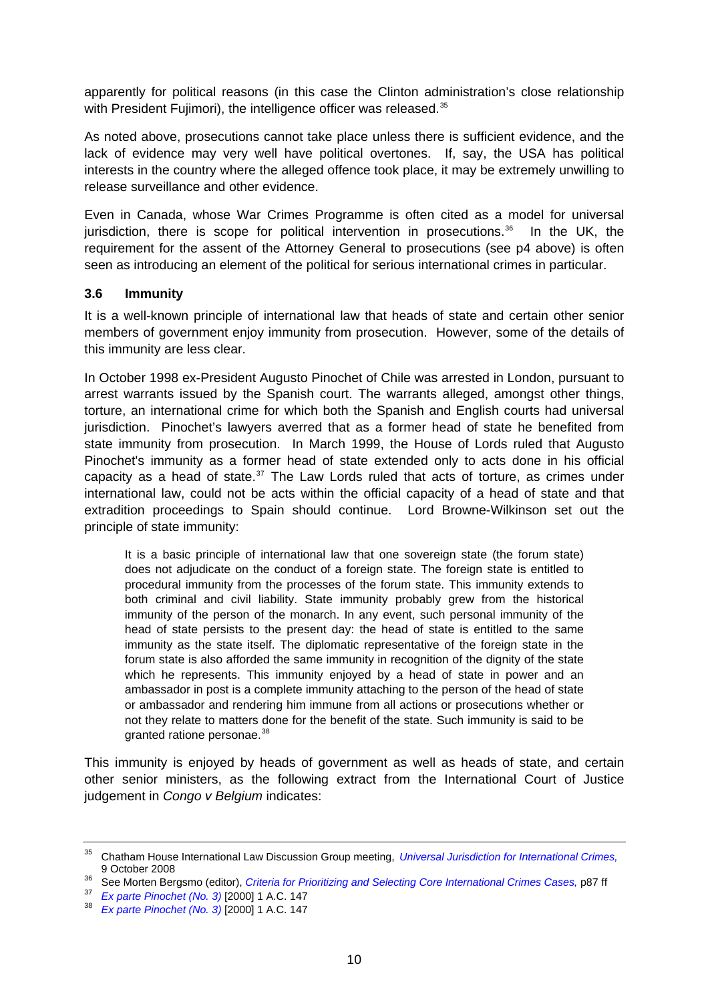<span id="page-9-0"></span>apparently for political reasons (in this case the Clinton administration's close relationship with President Fujimori), the intelligence officer was released.<sup>[35](#page-9-1)</sup>

As noted above, prosecutions cannot take place unless there is sufficient evidence, and the lack of evidence may very well have political overtones. If, say, the USA has political interests in the country where the alleged offence took place, it may be extremely unwilling to release surveillance and other evidence.

Even in Canada, whose War Crimes Programme is often cited as a model for universal jurisdiction, there is scope for political intervention in prosecutions.<sup>[36](#page-9-2)</sup> In the UK, the requirement for the assent of the Attorney General to prosecutions (see p4 above) is often seen as introducing an element of the political for serious international crimes in particular.

#### **3.6 Immunity**

It is a well-known principle of international law that heads of state and certain other senior members of government enjoy immunity from prosecution. However, some of the details of this immunity are less clear.

In October 1998 ex-President Augusto Pinochet of Chile was arrested in London, pursuant to arrest warrants issued by the Spanish court. The warrants alleged, amongst other things, torture, an international crime for which both the Spanish and English courts had universal jurisdiction. Pinochet's lawyers averred that as a former head of state he benefited from state immunity from prosecution. In March 1999, the House of Lords ruled that Augusto Pinochet's immunity as a former head of state extended only to acts done in his official capacity as a head of state. $37$  The Law Lords ruled that acts of torture, as crimes under international law, could not be acts within the official capacity of a head of state and that extradition proceedings to Spain should continue. Lord Browne-Wilkinson set out the principle of state immunity:

It is a basic principle of international law that one sovereign state (the forum state) does not adjudicate on the conduct of a foreign state. The foreign state is entitled to procedural immunity from the processes of the forum state. This immunity extends to both criminal and civil liability. State immunity probably grew from the historical immunity of the person of the monarch. In any event, such personal immunity of the head of state persists to the present day: the head of state is entitled to the same immunity as the state itself. The diplomatic representative of the foreign state in the forum state is also afforded the same immunity in recognition of the dignity of the state which he represents. This immunity enjoyed by a head of state in power and an ambassador in post is a complete immunity attaching to the person of the head of state or ambassador and rendering him immune from all actions or prosecutions whether or not they relate to matters done for the benefit of the state. Such immunity is said to be granted ratione personae.<sup>[38](#page-9-4)</sup>

This immunity is enjoyed by heads of government as well as heads of state, and certain other senior ministers, as the following extract from the International Court of Justice judgement in *Congo v Belgium* indicates:

<span id="page-9-1"></span><sup>35</sup> Chatham House International Law Discussion Group meeting, *[Universal Jurisdiction for International Crimes,](http://www.chathamhouse.org.uk/files/12483_il091008.pdf)*

<span id="page-9-2"></span><sup>9</sup> October 2008<br>36 See Morten Bergsmo (editor), *Criteria for Prioritizing and Selecting Core International Crimes Cases, p87 ff*<br>37 Ex parte Pinochet (No. 3) [2000] 1 A.C. 147<br>38 Ex parte Pinochet (No. 3) [2000] 1 A.C. 147

<span id="page-9-3"></span>

<span id="page-9-4"></span>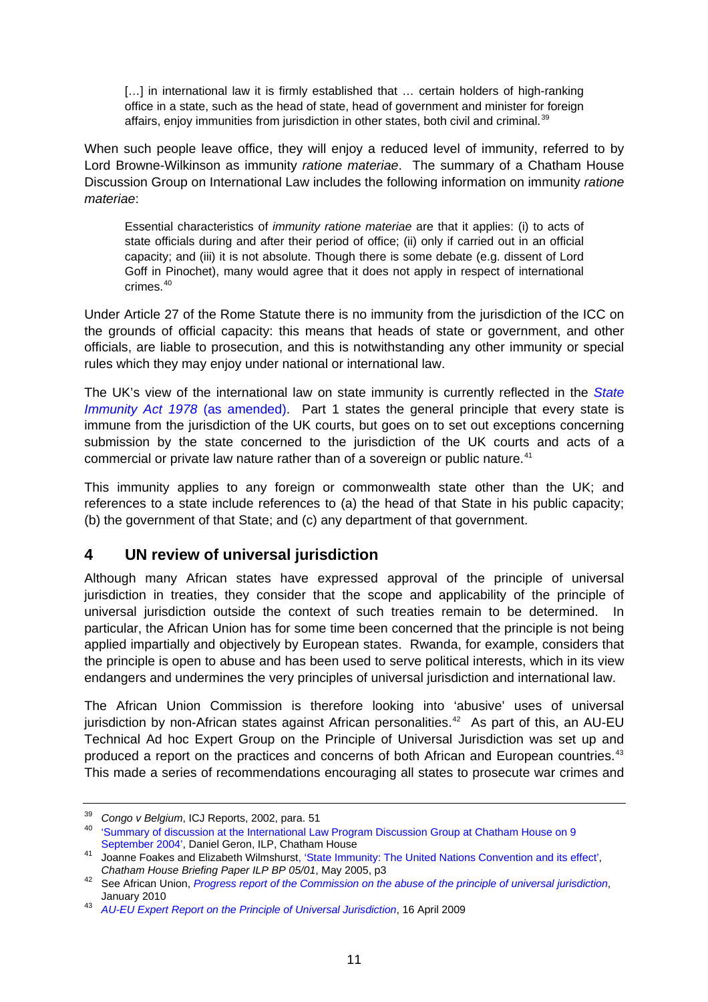<span id="page-10-0"></span>[...] in international law it is firmly established that ... certain holders of high-ranking office in a state, such as the head of state, head of government and minister for foreign affairs, enjoy immunities from jurisdiction in other states, both civil and criminal.<sup>[39](#page-10-1)</sup>

When such people leave office, they will enjoy a reduced level of immunity, referred to by Lord Browne-Wilkinson as immunity *ratione materiae*. The summary of a Chatham House Discussion Group on International Law includes the following information on immunity *ratione materiae*:

Essential characteristics of *immunity ratione materiae* are that it applies: (i) to acts of state officials during and after their period of office; (ii) only if carried out in an official capacity; and (iii) it is not absolute. Though there is some debate (e.g. dissent of Lord Goff in Pinochet), many would agree that it does not apply in respect of international crimes.[40](#page-10-2)

Under Article 27 of the Rome Statute there is no immunity from the jurisdiction of the ICC on the grounds of official capacity: this means that heads of state or government, and other officials, are liable to prosecution, and this is notwithstanding any other immunity or special rules which they may enjoy under national or international law.

The UK's view of the international law on state immunity is currently reflected in the *[State](http://www.opsi.gov.uk/RevisedStatutes/Acts/ukpga/1978/cukpga_19780033_en_1)  Immunity Act 1978* (as amended). Part 1 states the general principle that every state is immune from the jurisdiction of the UK courts, but goes on to set out exceptions concerning submission by the state concerned to the jurisdiction of the UK courts and acts of a commercial or private law nature rather than of a sovereign or public nature.<sup>[41](#page-10-3)</sup>

This immunity applies to any foreign or commonwealth state other than the UK; and references to a state include references to (a) the head of that State in his public capacity; (b) the government of that State; and (c) any department of that government.

### **4 UN review of universal jurisdiction**

Although many African states have expressed approval of the principle of universal jurisdiction in treaties, they consider that the scope and applicability of the principle of universal jurisdiction outside the context of such treaties remain to be determined. In particular, the African Union has for some time been concerned that the principle is not being applied impartially and objectively by European states. Rwanda, for example, considers that the principle is open to abuse and has been used to serve political interests, which in its view endangers and undermines the very principles of universal jurisdiction and international law.

The African Union Commission is therefore looking into 'abusive' uses of universal jurisdiction by non-African states against African personalities.<sup>[42](#page-10-4)</sup> As part of this, an AU-EU Technical Ad hoc Expert Group on the Principle of Universal Jurisdiction was set up and produced a report on the practices and concerns of both African and European countries.<sup>[43](#page-10-5)</sup> This made a series of recommendations encouraging all states to prosecute war crimes and

<span id="page-10-1"></span><sup>&</sup>lt;sup>39</sup> Congo v Belgium, ICJ Reports, 2002, para. 51<br><sup>40</sup> 'Summary of discussion at the International Law Program Discussion Group at Chatham House on 9

<span id="page-10-2"></span>[September 2004',](http://www.chathamhouse.org.uk/pdf/research/il/IL090904.pdf) Daniel Geron, ILP, Chatham House<br>
<sup>41</sup> Joanne Foakes and Elizabeth Wilmshurst[, 'State Immunity: The United Nations Convention and its effect'](http://www.chathamhouse.org.uk/files/3239_bpstateimmunity.pdf),

<span id="page-10-4"></span><span id="page-10-3"></span>*Chatham House Briefing Paper ILP BP 05/01*, May 2005, p3 42 See African Union, *[Progress report of the Commission on the abuse of the principle of universal jurisdiction](http://www.scribd.com/doc/27728999/African-Union-on-Universal-Jurisdiction)*,

<span id="page-10-5"></span><sup>&</sup>lt;sup>43</sup> *[AU-EU Expert Report on the Principle of Universal Jurisdiction](http://www.africa-eu-partnership.org/pdf/rapport_expert_ua_ue_competence_universelle_en.pdf)*, 16 April 2009